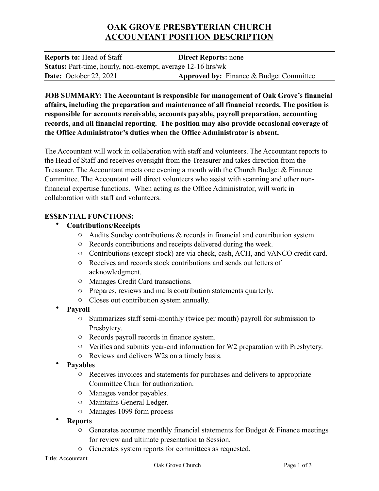# **OAK GROVE PRESBYTERIAN CHURCH ACCOUNTANT POSITION DESCRIPTION**

**Reports to:** Head of Staff **Direct Reports:** none **Status:** Part-time, hourly, non-exempt, average 12-16 hrs/wk **Date:** October 22, 2021 **Approved by:** Finance & Budget Committee

**JOB SUMMARY: The Accountant is responsible for management of Oak Grove's financial affairs, including the preparation and maintenance of all financial records. The position is responsible for accounts receivable, accounts payable, payroll preparation, accounting records, and all financial reporting. The position may also provide occasional coverage of the Office Administrator's duties when the Office Administrator is absent.**

The Accountant will work in collaboration with staff and volunteers. The Accountant reports to the Head of Staff and receives oversight from the Treasurer and takes direction from the Treasurer. The Accountant meets one evening a month with the Church Budget & Finance Committee. The Accountant will direct volunteers who assist with scanning and other nonfinancial expertise functions. When acting as the Office Administrator, will work in collaboration with staff and volunteers.

#### **ESSENTIAL FUNCTIONS:**

- **Contributions/Receipts**
	- o Audits Sunday contributions & records in financial and contribution system.
	- o Records contributions and receipts delivered during the week.
	- o Contributions (except stock) are via check, cash, ACH, and VANCO credit card.
	- o Receives and records stock contributions and sends out letters of acknowledgment.
	- o Manages Credit Card transactions.
	- o Prepares, reviews and mails contribution statements quarterly.
	- o Closes out contribution system annually.
- **Payroll**
	- o Summarizes staff semi-monthly (twice per month) payroll for submission to Presbytery.
	- o Records payroll records in finance system.
	- o Verifies and submits year-end information for W2 preparation with Presbytery.
	- o Reviews and delivers W2s on a timely basis.
- **Payables**
	- o Receives invoices and statements for purchases and delivers to appropriate Committee Chair for authorization.
	- o Manages vendor payables.
	- o Maintains General Ledger.
	- o Manages 1099 form process
- **Reports**
	- $\circ$  Generates accurate monthly financial statements for Budget & Finance meetings for review and ultimate presentation to Session.
	- o Generates system reports for committees as requested.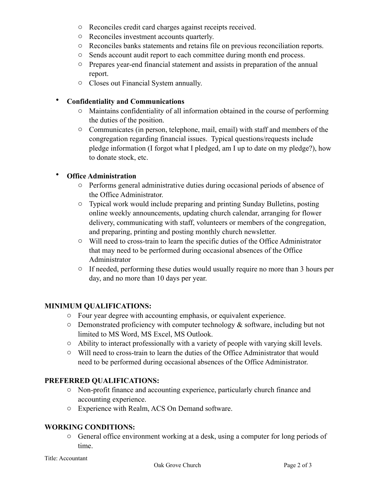- o Reconciles credit card charges against receipts received.
- o Reconciles investment accounts quarterly.
- o Reconciles banks statements and retains file on previous reconciliation reports.
- o Sends account audit report to each committee during month end process.
- o Prepares year-end financial statement and assists in preparation of the annual report.
- o Closes out Financial System annually.

#### • **Confidentiality and Communications**

- o Maintains confidentiality of all information obtained in the course of performing the duties of the position.
- o Communicates (in person, telephone, mail, email) with staff and members of the congregation regarding financial issues. Typical questions/requests include pledge information (I forgot what I pledged, am I up to date on my pledge?), how to donate stock, etc.

## • **Office Administration**

- o Performs general administrative duties during occasional periods of absence of the Office Administrator.
- o Typical work would include preparing and printing Sunday Bulletins, posting online weekly announcements, updating church calendar, arranging for flower delivery, communicating with staff, volunteers or members of the congregation, and preparing, printing and posting monthly church newsletter.
- o Will need to cross-train to learn the specific duties of the Office Administrator that may need to be performed during occasional absences of the Office Administrator
- o If needed, performing these duties would usually require no more than 3 hours per day, and no more than 10 days per year.

#### **MINIMUM QUALIFICATIONS:**

- o Four year degree with accounting emphasis, or equivalent experience.
- $\circ$  Demonstrated proficiency with computer technology & software, including but not limited to MS Word, MS Excel, MS Outlook.
- o Ability to interact professionally with a variety of people with varying skill levels.
- $\circ$  Will need to cross-train to learn the duties of the Office Administrator that would need to be performed during occasional absences of the Office Administrator.

## **PREFERRED QUALIFICATIONS:**

- o Non-profit finance and accounting experience, particularly church finance and accounting experience.
- o Experience with Realm, ACS On Demand software.

## **WORKING CONDITIONS:**

o General office environment working at a desk, using a computer for long periods of time.